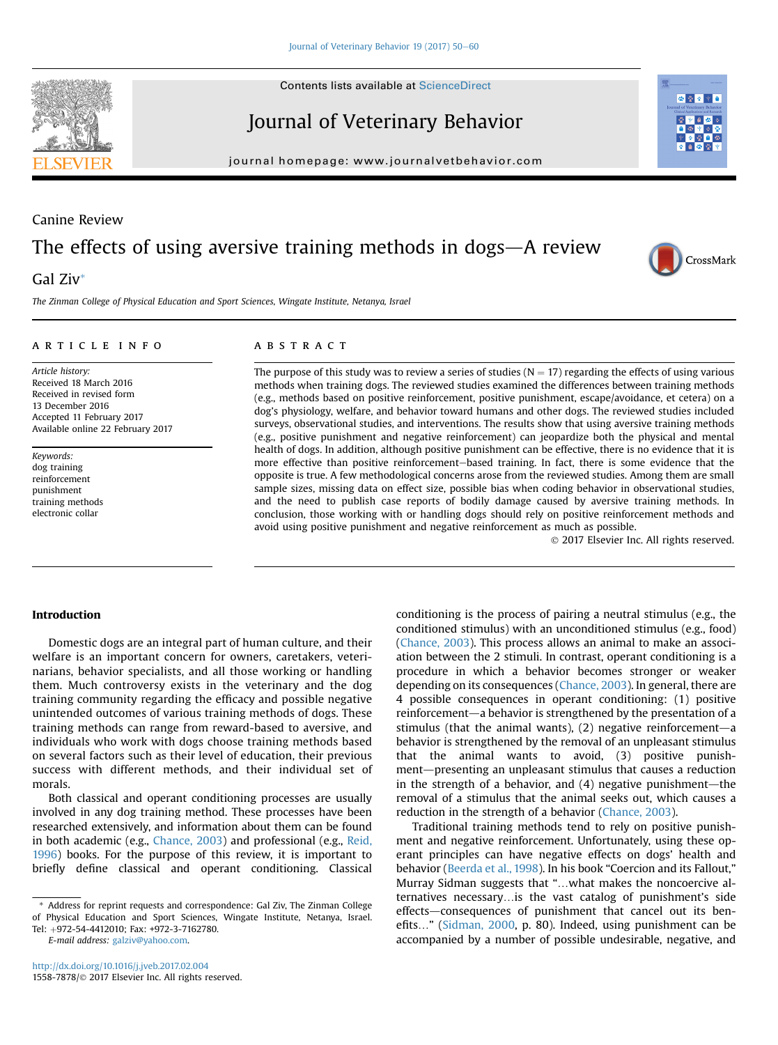**Contents lists available at ScienceDirect** 

Journal of Veterinary Behavior

journal homepage: [www.journalvetbehavior.com](http://www.journalvetbehavior.com)

## Canine Review

# The effects of using aversive training methods in dogs $-A$  review

## Gal Ziv\*

The Zinman College of Physical Education and Sport Sciences, Wingate Institute, Netanya, Israel

### article info

Article history: Received 18 March 2016 Received in revised form 13 December 2016 Accepted 11 February 2017 Available online 22 February 2017

Keywords: dog training reinforcement punishment training methods electronic collar

## **ABSTRACT**

The purpose of this study was to review a series of studies ( $N = 17$ ) regarding the effects of using various methods when training dogs. The reviewed studies examined the differences between training methods (e.g., methods based on positive reinforcement, positive punishment, escape/avoidance, et cetera) on a dog's physiology, welfare, and behavior toward humans and other dogs. The reviewed studies included surveys, observational studies, and interventions. The results show that using aversive training methods (e.g., positive punishment and negative reinforcement) can jeopardize both the physical and mental health of dogs. In addition, although positive punishment can be effective, there is no evidence that it is more effective than positive reinforcement-based training. In fact, there is some evidence that the opposite is true. A few methodological concerns arose from the reviewed studies. Among them are small sample sizes, missing data on effect size, possible bias when coding behavior in observational studies, and the need to publish case reports of bodily damage caused by aversive training methods. In conclusion, those working with or handling dogs should rely on positive reinforcement methods and avoid using positive punishment and negative reinforcement as much as possible.

2017 Elsevier Inc. All rights reserved.

#### Introduction

Domestic dogs are an integral part of human culture, and their welfare is an important concern for owners, caretakers, veterinarians, behavior specialists, and all those working or handling them. Much controversy exists in the veterinary and the dog training community regarding the efficacy and possible negative unintended outcomes of various training methods of dogs. These training methods can range from reward-based to aversive, and individuals who work with dogs choose training methods based on several factors such as their level of education, their previous success with different methods, and their individual set of morals.

Both classical and operant conditioning processes are usually involved in any dog training method. These processes have been researched extensively, and information about them can be found in both academic (e.g., [Chance, 2003\)](#page-9-0) and professional (e.g., [Reid,](#page-10-0) [1996](#page-10-0)) books. For the purpose of this review, it is important to briefly define classical and operant conditioning. Classical

E-mail address: [galziv@yahoo.com.](mailto:galziv@yahoo.com)

ation between the 2 stimuli. In contrast, operant conditioning is a procedure in which a behavior becomes stronger or weaker depending on its consequences [\(Chance, 2003\)](#page-9-0). In general, there are 4 possible consequences in operant conditioning: (1) positive reinforcement—a behavior is strengthened by the presentation of a stimulus (that the animal wants),  $(2)$  negative reinforcement—a behavior is strengthened by the removal of an unpleasant stimulus that the animal wants to avoid, (3) positive punishment—presenting an unpleasant stimulus that causes a reduction in the strength of a behavior, and  $(4)$  negative punishment—the removal of a stimulus that the animal seeks out, which causes a reduction in the strength of a behavior [\(Chance, 2003](#page-9-0)). Traditional training methods tend to rely on positive punishment and negative reinforcement. Unfortunately, using these operant principles can have negative effects on dogs' health and

conditioning is the process of pairing a neutral stimulus (e.g., the conditioned stimulus) with an unconditioned stimulus (e.g., food) ([Chance, 2003\)](#page-9-0). This process allows an animal to make an associ-

behavior ([Beerda et al., 1998\)](#page-9-0). In his book "Coercion and its Fallout," Murray Sidman suggests that "...what makes the noncoercive alternatives necessary... is the vast catalog of punishment's side effects—consequences of punishment that cancel out its ben-efits..." ([Sidman, 2000](#page-10-0), p. 80). Indeed, using punishment can be accompanied by a number of possible undesirable, negative, and





あめる

Address for reprint requests and correspondence: Gal Ziv, The Zinman College of Physical Education and Sport Sciences, Wingate Institute, Netanya, Israel. Tel: þ972-54-4412010; Fax: +972-3-7162780.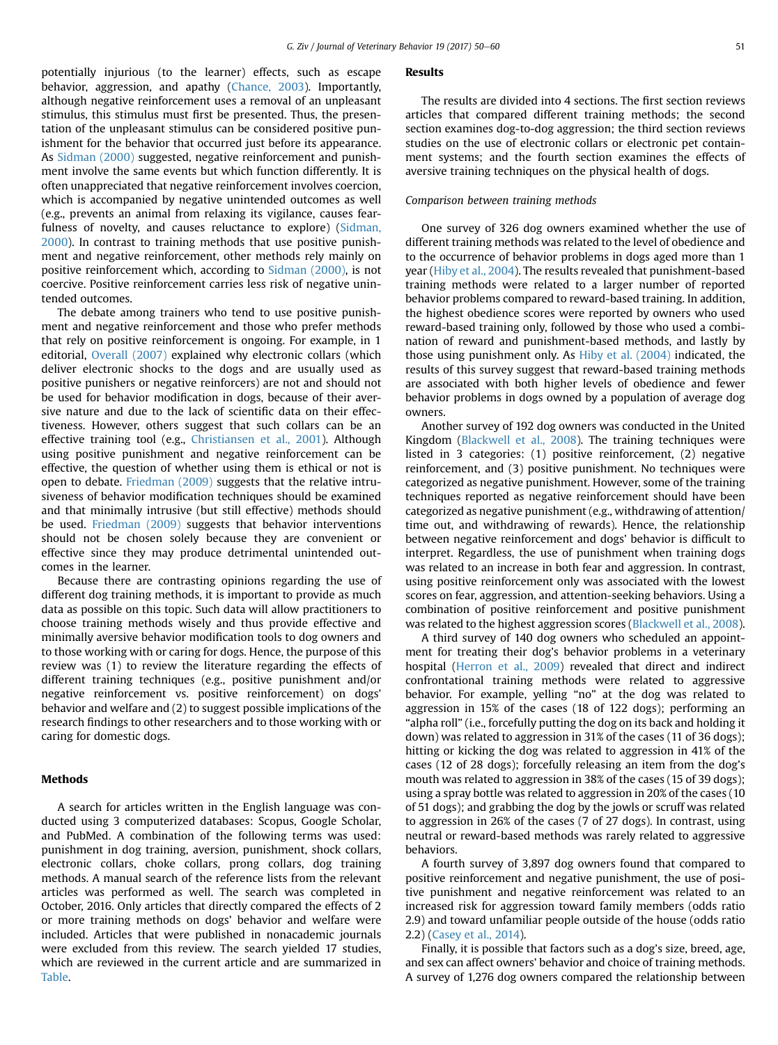potentially injurious (to the learner) effects, such as escape behavior, aggression, and apathy ([Chance, 2003](#page-9-0)). Importantly, although negative reinforcement uses a removal of an unpleasant stimulus, this stimulus must first be presented. Thus, the presentation of the unpleasant stimulus can be considered positive punishment for the behavior that occurred just before its appearance. As [Sidman \(2000\)](#page-10-0) suggested, negative reinforcement and punishment involve the same events but which function differently. It is often unappreciated that negative reinforcement involves coercion, which is accompanied by negative unintended outcomes as well (e.g., prevents an animal from relaxing its vigilance, causes fear-fulness of novelty, and causes reluctance to explore) [\(Sidman,](#page-10-0) [2000](#page-10-0)). In contrast to training methods that use positive punishment and negative reinforcement, other methods rely mainly on positive reinforcement which, according to [Sidman \(2000\),](#page-10-0) is not coercive. Positive reinforcement carries less risk of negative unintended outcomes.

The debate among trainers who tend to use positive punishment and negative reinforcement and those who prefer methods that rely on positive reinforcement is ongoing. For example, in 1 editorial, [Overall \(2007\)](#page-10-0) explained why electronic collars (which deliver electronic shocks to the dogs and are usually used as positive punishers or negative reinforcers) are not and should not be used for behavior modification in dogs, because of their aversive nature and due to the lack of scientific data on their effectiveness. However, others suggest that such collars can be an effective training tool (e.g., [Christiansen et al., 2001](#page-10-0)). Although using positive punishment and negative reinforcement can be effective, the question of whether using them is ethical or not is open to debate. [Friedman \(2009\)](#page-10-0) suggests that the relative intrusiveness of behavior modification techniques should be examined and that minimally intrusive (but still effective) methods should be used. [Friedman \(2009\)](#page-10-0) suggests that behavior interventions should not be chosen solely because they are convenient or effective since they may produce detrimental unintended outcomes in the learner.

Because there are contrasting opinions regarding the use of different dog training methods, it is important to provide as much data as possible on this topic. Such data will allow practitioners to choose training methods wisely and thus provide effective and minimally aversive behavior modification tools to dog owners and to those working with or caring for dogs. Hence, the purpose of this review was (1) to review the literature regarding the effects of different training techniques (e.g., positive punishment and/or negative reinforcement vs. positive reinforcement) on dogs' behavior and welfare and (2) to suggest possible implications of the research findings to other researchers and to those working with or caring for domestic dogs.

#### **Methods**

A search for articles written in the English language was conducted using 3 computerized databases: Scopus, Google Scholar, and PubMed. A combination of the following terms was used: punishment in dog training, aversion, punishment, shock collars, electronic collars, choke collars, prong collars, dog training methods. A manual search of the reference lists from the relevant articles was performed as well. The search was completed in October, 2016. Only articles that directly compared the effects of 2 or more training methods on dogs' behavior and welfare were included. Articles that were published in nonacademic journals were excluded from this review. The search yielded 17 studies, which are reviewed in the current article and are summarized in [Table.](#page-2-0)

#### Results

The results are divided into 4 sections. The first section reviews articles that compared different training methods; the second section examines dog-to-dog aggression; the third section reviews studies on the use of electronic collars or electronic pet containment systems; and the fourth section examines the effects of aversive training techniques on the physical health of dogs.

#### Comparison between training methods

One survey of 326 dog owners examined whether the use of different training methods was related to the level of obedience and to the occurrence of behavior problems in dogs aged more than 1 year [\(Hiby et al., 2004](#page-10-0)). The results revealed that punishment-based training methods were related to a larger number of reported behavior problems compared to reward-based training. In addition, the highest obedience scores were reported by owners who used reward-based training only, followed by those who used a combination of reward and punishment-based methods, and lastly by those using punishment only. As [Hiby et al. \(2004\)](#page-10-0) indicated, the results of this survey suggest that reward-based training methods are associated with both higher levels of obedience and fewer behavior problems in dogs owned by a population of average dog owners.

Another survey of 192 dog owners was conducted in the United Kingdom ([Blackwell et al., 2008](#page-9-0)). The training techniques were listed in 3 categories: (1) positive reinforcement, (2) negative reinforcement, and (3) positive punishment. No techniques were categorized as negative punishment. However, some of the training techniques reported as negative reinforcement should have been categorized as negative punishment (e.g., withdrawing of attention/ time out, and withdrawing of rewards). Hence, the relationship between negative reinforcement and dogs' behavior is difficult to interpret. Regardless, the use of punishment when training dogs was related to an increase in both fear and aggression. In contrast, using positive reinforcement only was associated with the lowest scores on fear, aggression, and attention-seeking behaviors. Using a combination of positive reinforcement and positive punishment was related to the highest aggression scores ([Blackwell et al., 2008](#page-9-0)).

A third survey of 140 dog owners who scheduled an appointment for treating their dog's behavior problems in a veterinary hospital ([Herron et al., 2009\)](#page-10-0) revealed that direct and indirect confrontational training methods were related to aggressive behavior. For example, yelling "no" at the dog was related to aggression in 15% of the cases (18 of 122 dogs); performing an "alpha roll" (i.e., forcefully putting the dog on its back and holding it down) was related to aggression in 31% of the cases (11 of 36 dogs); hitting or kicking the dog was related to aggression in 41% of the cases (12 of 28 dogs); forcefully releasing an item from the dog's mouth was related to aggression in 38% of the cases (15 of 39 dogs); using a spray bottle was related to aggression in 20% of the cases (10 of 51 dogs); and grabbing the dog by the jowls or scruff was related to aggression in 26% of the cases (7 of 27 dogs). In contrast, using neutral or reward-based methods was rarely related to aggressive behaviors.

A fourth survey of 3,897 dog owners found that compared to positive reinforcement and negative punishment, the use of positive punishment and negative reinforcement was related to an increased risk for aggression toward family members (odds ratio 2.9) and toward unfamiliar people outside of the house (odds ratio 2.2) [\(Casey et al., 2014\)](#page-9-0).

Finally, it is possible that factors such as a dog's size, breed, age, and sex can affect owners' behavior and choice of training methods. A survey of 1,276 dog owners compared the relationship between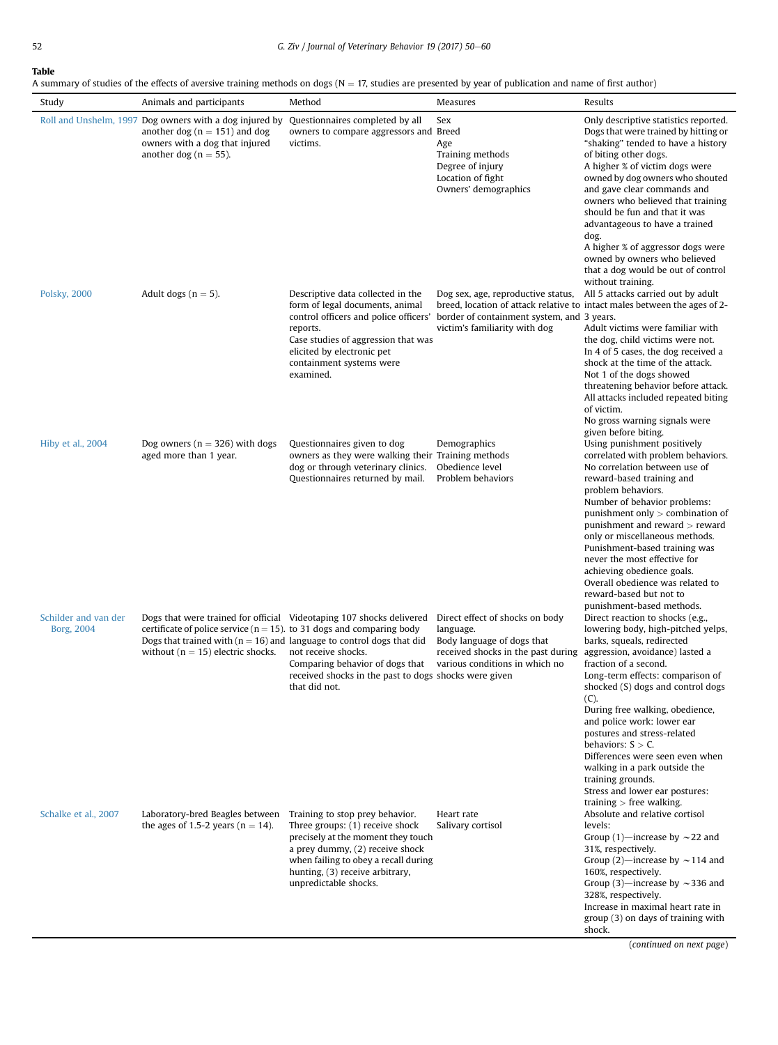<span id="page-2-0"></span>A summary of studies of the effects of aversive training methods on dogs ( $N = 17$ , studies are presented by year of publication and name of first author)

| Study                              | Animals and participants                                                                                                                                                                        | Method                                                                                                                                                                                                                                          | Measures                                                                                                                                           | Results                                                                                                                                                                                                                                                                                                                                                                                                                                                                                                                            |
|------------------------------------|-------------------------------------------------------------------------------------------------------------------------------------------------------------------------------------------------|-------------------------------------------------------------------------------------------------------------------------------------------------------------------------------------------------------------------------------------------------|----------------------------------------------------------------------------------------------------------------------------------------------------|------------------------------------------------------------------------------------------------------------------------------------------------------------------------------------------------------------------------------------------------------------------------------------------------------------------------------------------------------------------------------------------------------------------------------------------------------------------------------------------------------------------------------------|
|                                    | Roll and Unshelm, 1997 Dog owners with a dog injured by<br>another dog ( $n = 151$ ) and dog<br>owners with a dog that injured<br>another dog ( $n = 55$ ).                                     | Questionnaires completed by all<br>owners to compare aggressors and Breed<br>victims.                                                                                                                                                           | Sex<br>Age<br>Training methods<br>Degree of injury<br>Location of fight<br>Owners' demographics                                                    | Only descriptive statistics reported.<br>Dogs that were trained by hitting or<br>"shaking" tended to have a history<br>of biting other dogs.<br>A higher % of victim dogs were<br>owned by dog owners who shouted<br>and gave clear commands and<br>owners who believed that training<br>should be fun and that it was<br>advantageous to have a trained<br>dog.<br>A higher % of aggressor dogs were<br>owned by owners who believed<br>that a dog would be out of control<br>without training.                                   |
| Polsky, 2000                       | Adult dogs ( $n = 5$ ).                                                                                                                                                                         | Descriptive data collected in the<br>form of legal documents, animal<br>control officers and police officers'<br>reports.<br>Case studies of aggression that was<br>elicited by electronic pet<br>containment systems were<br>examined.         | Dog sex, age, reproductive status,<br>border of containment system, and 3 years.<br>victim's familiarity with dog                                  | All 5 attacks carried out by adult<br>breed, location of attack relative to intact males between the ages of 2-<br>Adult victims were familiar with<br>the dog, child victims were not.<br>In 4 of 5 cases, the dog received a<br>shock at the time of the attack.<br>Not 1 of the dogs showed<br>threatening behavior before attack.<br>All attacks included repeated biting<br>of victim.<br>No gross warning signals were<br>given before biting.                                                                               |
| Hiby et al., 2004                  | Dog owners ( $n = 326$ ) with dogs<br>aged more than 1 year.                                                                                                                                    | Questionnaires given to dog<br>owners as they were walking their Training methods<br>dog or through veterinary clinics.<br>Questionnaires returned by mail.                                                                                     | Demographics<br>Obedience level<br>Problem behaviors                                                                                               | Using punishment positively<br>correlated with problem behaviors.<br>No correlation between use of<br>reward-based training and<br>problem behaviors.<br>Number of behavior problems:<br>punishment only $>$ combination of<br>punishment and reward $>$ reward<br>only or miscellaneous methods.<br>Punishment-based training was<br>never the most effective for<br>achieving obedience goals.<br>Overall obedience was related to<br>reward-based but not to<br>punishment-based methods.                                       |
| Schilder and van der<br>Borg, 2004 | certificate of police service ( $n = 15$ ), to 31 dogs and comparing body<br>Dogs that trained with ( $n = 16$ ) and language to control dogs that did<br>without ( $n = 15$ ) electric shocks. | Dogs that were trained for official Videotaping 107 shocks delivered<br>not receive shocks.<br>Comparing behavior of dogs that<br>received shocks in the past to dogs shocks were given<br>that did not.                                        | Direct effect of shocks on body<br>language.<br>Body language of dogs that<br>received shocks in the past during<br>various conditions in which no | Direct reaction to shocks (e.g.,<br>lowering body, high-pitched yelps,<br>barks, squeals, redirected<br>aggression, avoidance) lasted a<br>fraction of a second.<br>Long-term effects: comparison of<br>shocked (S) dogs and control dogs<br>(C).<br>During free walking, obedience,<br>and police work: lower ear<br>postures and stress-related<br>behaviors: $S > C$ .<br>Differences were seen even when<br>walking in a park outside the<br>training grounds.<br>Stress and lower ear postures:<br>training $>$ free walking. |
| Schalke et al., 2007               | Laboratory-bred Beagles between<br>the ages of 1.5-2 years ( $n = 14$ ).                                                                                                                        | Training to stop prey behavior.<br>Three groups: (1) receive shock<br>precisely at the moment they touch<br>a prey dummy, (2) receive shock<br>when failing to obey a recall during<br>hunting, (3) receive arbitrary,<br>unpredictable shocks. | Heart rate<br>Salivary cortisol                                                                                                                    | Absolute and relative cortisol<br>levels:<br>Group (1)—increase by $\sim$ 22 and<br>31%, respectively.<br>Group (2)—increase by $\sim$ 114 and<br>160%, respectively.<br>Group (3)—increase by $\sim$ 336 and<br>328%, respectively.<br>Increase in maximal heart rate in<br>group (3) on days of training with<br>shock.                                                                                                                                                                                                          |

(continued on next page)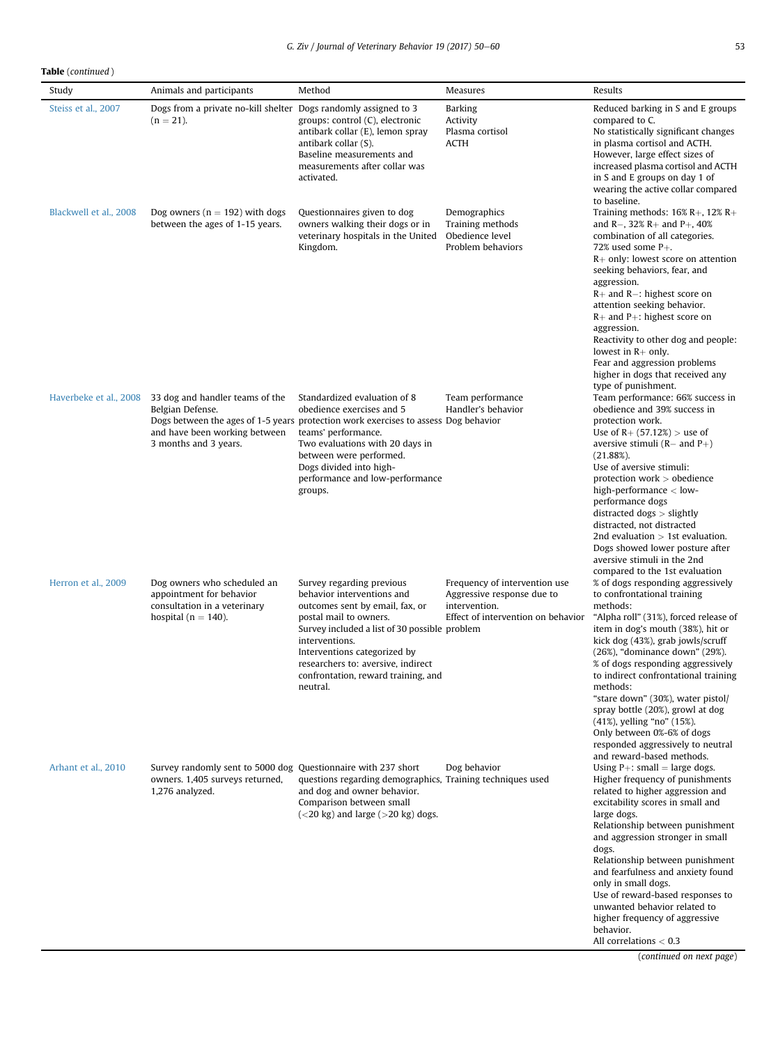Table (continued )

| Study                  | Animals and participants                                                                                            | Method                                                                                                                                                                                                                                                                                                           | Measures                                                                                                           | Results                                                                                                                                                                                                                                                                                                                                                                                                                                                                                                                                                             |
|------------------------|---------------------------------------------------------------------------------------------------------------------|------------------------------------------------------------------------------------------------------------------------------------------------------------------------------------------------------------------------------------------------------------------------------------------------------------------|--------------------------------------------------------------------------------------------------------------------|---------------------------------------------------------------------------------------------------------------------------------------------------------------------------------------------------------------------------------------------------------------------------------------------------------------------------------------------------------------------------------------------------------------------------------------------------------------------------------------------------------------------------------------------------------------------|
| Steiss et al., 2007    | Dogs from a private no-kill shelter Dogs randomly assigned to 3<br>$(n = 21)$ .                                     | groups: control (C), electronic<br>antibark collar (E), lemon spray<br>antibark collar (S).<br>Baseline measurements and<br>measurements after collar was<br>activated.                                                                                                                                          | <b>Barking</b><br>Activity<br>Plasma cortisol<br><b>ACTH</b>                                                       | Reduced barking in S and E groups<br>compared to C.<br>No statistically significant changes<br>in plasma cortisol and ACTH.<br>However, large effect sizes of<br>increased plasma cortisol and ACTH<br>in S and E groups on day 1 of<br>wearing the active collar compared<br>to baseline.                                                                                                                                                                                                                                                                          |
| Blackwell et al., 2008 | Dog owners ( $n = 192$ ) with dogs<br>between the ages of 1-15 years.                                               | Questionnaires given to dog<br>owners walking their dogs or in<br>veterinary hospitals in the United<br>Kingdom.                                                                                                                                                                                                 | Demographics<br>Training methods<br>Obedience level<br>Problem behaviors                                           | Training methods: $16\%$ R+, $12\%$ R+<br>and R-, $32\%$ R+ and P+, $40\%$<br>combination of all categories.<br>72% used some $P_{+}$ .<br>$R+$ only: lowest score on attention<br>seeking behaviors, fear, and<br>aggression.<br>$R+$ and $R-$ : highest score on<br>attention seeking behavior.<br>$R+$ and $P+$ : highest score on<br>aggression.<br>Reactivity to other dog and people:<br>lowest in $R+$ only.<br>Fear and aggression problems<br>higher in dogs that received any<br>type of punishment.                                                      |
| Haverbeke et al., 2008 | 33 dog and handler teams of the<br>Belgian Defense.<br>and have been working between<br>3 months and 3 years.       | Standardized evaluation of 8<br>obedience exercises and 5<br>Dogs between the ages of 1-5 years protection work exercises to assess Dog behavior<br>teams' performance.<br>Two evaluations with 20 days in<br>between were performed.<br>Dogs divided into high-<br>performance and low-performance<br>groups.   | Team performance<br>Handler's behavior                                                                             | Team performance: 66% success in<br>obedience and 39% success in<br>protection work.<br>Use of $R + (57.12%) >$ use of<br>aversive stimuli $(R-$ and $P+$ )<br>$(21.88\%).$<br>Use of aversive stimuli:<br>protection work > obedience<br>high-performance $<$ low-<br>performance dogs<br>distracted dogs > slightly<br>distracted, not distracted<br>2nd evaluation $> 1$ st evaluation.<br>Dogs showed lower posture after<br>aversive stimuli in the 2nd                                                                                                        |
| Herron et al., 2009    | Dog owners who scheduled an<br>appointment for behavior<br>consultation in a veterinary<br>hospital ( $n = 140$ ).  | Survey regarding previous<br>behavior interventions and<br>outcomes sent by email, fax, or<br>postal mail to owners.<br>Survey included a list of 30 possible problem<br>interventions.<br>Interventions categorized by<br>researchers to: aversive, indirect<br>confrontation, reward training, and<br>neutral. | Frequency of intervention use<br>Aggressive response due to<br>intervention.<br>Effect of intervention on behavior | compared to the 1st evaluation<br>% of dogs responding aggressively<br>to confrontational training<br>methods:<br>"Alpha roll" (31%), forced release of<br>item in dog's mouth (38%), hit or<br>kick dog (43%), grab jowls/scruff<br>(26%), "dominance down" (29%).<br>% of dogs responding aggressively<br>to indirect confrontational training<br>methods:<br>"stare down" (30%), water pistol/<br>spray bottle (20%), growl at dog<br>(41%), yelling "no" (15%).<br>Only between 0%-6% of dogs<br>responded aggressively to neutral<br>and reward-based methods. |
| Arhant et al., 2010    | Survey randomly sent to 5000 dog Questionnaire with 237 short<br>owners. 1,405 surveys returned,<br>1,276 analyzed. | questions regarding demographics, Training techniques used<br>and dog and owner behavior.<br>Comparison between small<br>$(<$ 20 kg) and large $(>$ 20 kg) dogs.                                                                                                                                                 | Dog behavior                                                                                                       | Using $P+$ : small = large dogs.<br>Higher frequency of punishments<br>related to higher aggression and<br>excitability scores in small and<br>large dogs.<br>Relationship between punishment<br>and aggression stronger in small<br>dogs.<br>Relationship between punishment<br>and fearfulness and anxiety found<br>only in small dogs.<br>Use of reward-based responses to<br>unwanted behavior related to<br>higher frequency of aggressive<br>behavior.<br>All correlations $< 0.3$<br>(continued on next page)                                                |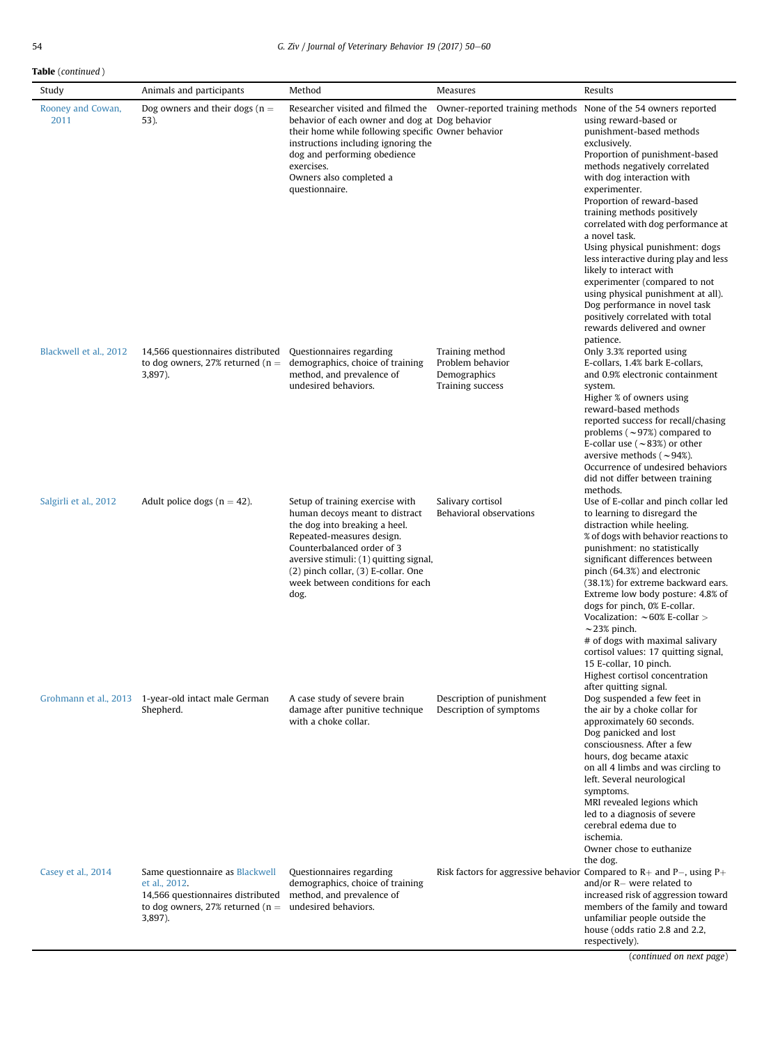# Table (continued )

| Study                     | Animals and participants                                                                                                                | Method                                                                                                                                                                                                                                                                                         | Measures                                                                | Results                                                                                                                                                                                                                                                                                                                                                                                                                                                                                                                                                                                                                                 |
|---------------------------|-----------------------------------------------------------------------------------------------------------------------------------------|------------------------------------------------------------------------------------------------------------------------------------------------------------------------------------------------------------------------------------------------------------------------------------------------|-------------------------------------------------------------------------|-----------------------------------------------------------------------------------------------------------------------------------------------------------------------------------------------------------------------------------------------------------------------------------------------------------------------------------------------------------------------------------------------------------------------------------------------------------------------------------------------------------------------------------------------------------------------------------------------------------------------------------------|
| Rooney and Cowan,<br>2011 | Dog owners and their dogs ( $n =$<br>53).                                                                                               | behavior of each owner and dog at Dog behavior<br>their home while following specific Owner behavior<br>instructions including ignoring the<br>dog and performing obedience<br>exercises.<br>Owners also completed a<br>questionnaire.                                                         | Researcher visited and filmed the Owner-reported training methods       | None of the 54 owners reported<br>using reward-based or<br>punishment-based methods<br>exclusively.<br>Proportion of punishment-based<br>methods negatively correlated<br>with dog interaction with<br>experimenter.<br>Proportion of reward-based<br>training methods positively<br>correlated with dog performance at<br>a novel task.<br>Using physical punishment: dogs<br>less interactive during play and less<br>likely to interact with<br>experimenter (compared to not<br>using physical punishment at all).<br>Dog performance in novel task<br>positively correlated with total<br>rewards delivered and owner<br>patience. |
| Blackwell et al., 2012    | 14,566 questionnaires distributed<br>to dog owners, 27% returned ( $n =$ demographics, choice of training<br>3,897).                    | Questionnaires regarding<br>method, and prevalence of<br>undesired behaviors.                                                                                                                                                                                                                  | Training method<br>Problem behavior<br>Demographics<br>Training success | Only 3.3% reported using<br>E-collars, 1.4% bark E-collars,<br>and 0.9% electronic containment<br>system.<br>Higher % of owners using<br>reward-based methods<br>reported success for recall/chasing<br>problems ( $\sim$ 97%) compared to<br>E-collar use ( $\sim$ 83%) or other<br>aversive methods ( $\sim$ 94%).<br>Occurrence of undesired behaviors<br>did not differ between training<br>methods.                                                                                                                                                                                                                                |
| Salgirli et al., 2012     | Adult police dogs ( $n = 42$ ).                                                                                                         | Setup of training exercise with<br>human decoys meant to distract<br>the dog into breaking a heel.<br>Repeated-measures design.<br>Counterbalanced order of 3<br>aversive stimuli: (1) quitting signal,<br>$(2)$ pinch collar, $(3)$ E-collar. One<br>week between conditions for each<br>dog. | Salivary cortisol<br>Behavioral observations                            | Use of E-collar and pinch collar led<br>to learning to disregard the<br>distraction while heeling.<br>% of dogs with behavior reactions to<br>punishment: no statistically<br>significant differences between<br>pinch (64.3%) and electronic<br>(38.1%) for extreme backward ears.<br>Extreme low body posture: 4.8% of<br>dogs for pinch, 0% E-collar.<br>Vocalization: $\sim$ 60% E-collar ><br>$\sim$ 23% pinch.<br># of dogs with maximal salivary<br>cortisol values: 17 quitting signal,<br>15 E-collar, 10 pinch.<br>Highest cortisol concentration                                                                             |
|                           | Grohmann et al., 2013 1-year-old intact male German<br>Shepherd.                                                                        | A case study of severe brain<br>damage after punitive technique<br>with a choke collar.                                                                                                                                                                                                        | Description of punishment<br>Description of symptoms                    | after quitting signal.<br>Dog suspended a few feet in<br>the air by a choke collar for<br>approximately 60 seconds.<br>Dog panicked and lost<br>consciousness. After a few<br>hours, dog became ataxic<br>on all 4 limbs and was circling to<br>left. Several neurological<br>symptoms.<br>MRI revealed legions which<br>led to a diagnosis of severe<br>cerebral edema due to<br>ischemia.<br>Owner chose to euthanize<br>the dog.                                                                                                                                                                                                     |
| Casey et al., 2014        | Same questionnaire as Blackwell<br>et al., 2012.<br>14,566 questionnaires distributed<br>to dog owners, 27% returned ( $n =$<br>3,897). | Questionnaires regarding<br>demographics, choice of training<br>method, and prevalence of<br>undesired behaviors.                                                                                                                                                                              |                                                                         | Risk factors for aggressive behavior Compared to $R+$ and $P-$ , using $P+$<br>and/or $R-$ were related to<br>increased risk of aggression toward<br>members of the family and toward<br>unfamiliar people outside the<br>house (odds ratio 2.8 and 2.2,<br>respectively).<br>$(continued \text{ on } \text{not } \text{no}$                                                                                                                                                                                                                                                                                                            |

(continued on next page)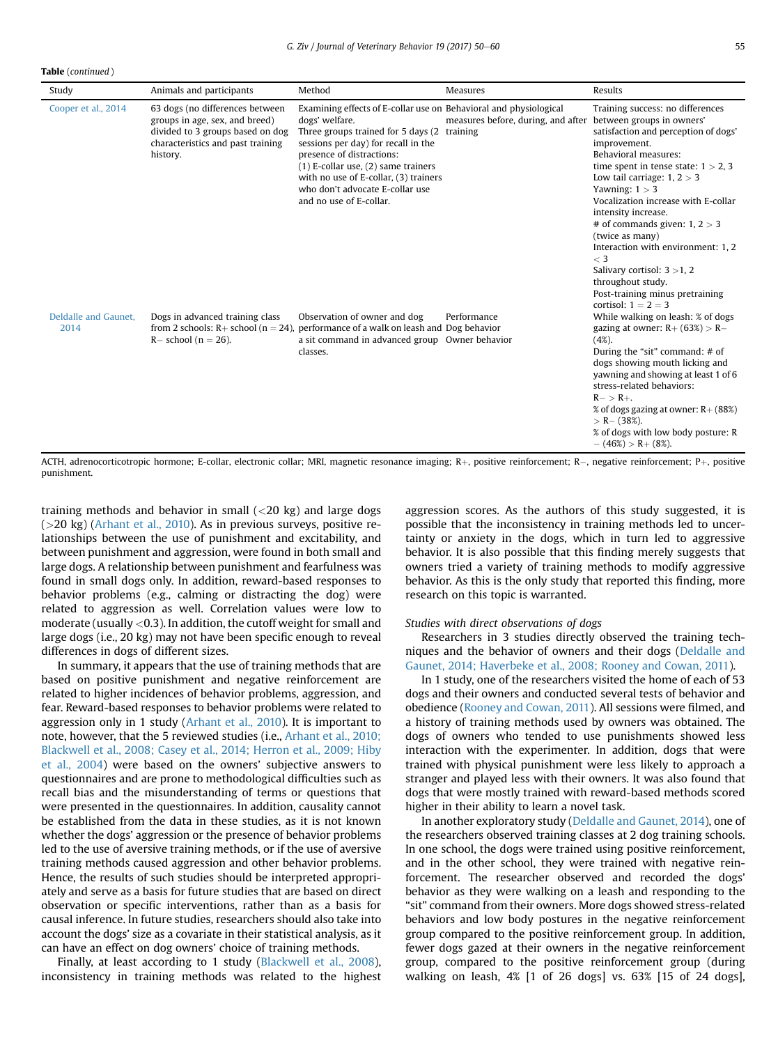Table (continued )

| Study                        | Animals and participants                                                                                                                               | Method                                                                                                                                                                                                                                                                                                                                                   | Measures                           | Results                                                                                                                                                                                                                                                                                                                                                                                                                                                                                                                                |
|------------------------------|--------------------------------------------------------------------------------------------------------------------------------------------------------|----------------------------------------------------------------------------------------------------------------------------------------------------------------------------------------------------------------------------------------------------------------------------------------------------------------------------------------------------------|------------------------------------|----------------------------------------------------------------------------------------------------------------------------------------------------------------------------------------------------------------------------------------------------------------------------------------------------------------------------------------------------------------------------------------------------------------------------------------------------------------------------------------------------------------------------------------|
| Cooper et al., 2014          | 63 dogs (no differences between<br>groups in age, sex, and breed)<br>divided to 3 groups based on dog<br>characteristics and past training<br>history. | Examining effects of E-collar use on Behavioral and physiological<br>dogs' welfare.<br>Three groups trained for 5 days (2 training<br>sessions per day) for recall in the<br>presence of distractions:<br>$(1)$ E-collar use, $(2)$ same trainers<br>with no use of E-collar, (3) trainers<br>who don't advocate E-collar use<br>and no use of E-collar. | measures before, during, and after | Training success: no differences<br>between groups in owners'<br>satisfaction and perception of dogs'<br>improvement.<br>Behavioral measures:<br>time spent in tense state: $1 > 2$ , 3<br>Low tail carriage: $1, 2 > 3$<br>Yawning: $1 > 3$<br>Vocalization increase with E-collar<br>intensity increase.<br># of commands given: $1, 2 > 3$<br>(twice as many)<br>Interaction with environment: 1.2<br>$\langle$ 3<br>Salivary cortisol: $3 > 1, 2$<br>throughout study.<br>Post-training minus pretraining<br>cortisol: $1 = 2 = 3$ |
| Deldalle and Gaunet.<br>2014 | Dogs in advanced training class<br>from 2 schools: $R+$ school ( $n = 24$ ),<br>$R-$ school (n = 26).                                                  | Observation of owner and dog<br>performance of a walk on leash and Dog behavior<br>a sit command in advanced group Owner behavior<br>classes.                                                                                                                                                                                                            | Performance                        | While walking on leash: % of dogs<br>gazing at owner: $R+ (63%) > R-$<br>$(4%)$ .<br>During the "sit" command: # of<br>dogs showing mouth licking and<br>yawning and showing at least 1 of 6<br>stress-related behaviors:<br>$R - > R +$ .<br>% of dogs gazing at owner: $R+$ (88%)<br>$> R - (38\%).$<br>% of dogs with low body posture: R<br>$- (46\%) > R + (8\%).$                                                                                                                                                                |

ACTH, adrenocorticotropic hormone; E-collar, electronic collar; MRI, magnetic resonance imaging; R $+$ , positive reinforcement; R $-$ , negative reinforcement; P $+$ , positive punishment.

training methods and behavior in small  $(<$ 20 kg) and large dogs (>20 kg) [\(Arhant et al., 2010\)](#page-9-0). As in previous surveys, positive relationships between the use of punishment and excitability, and between punishment and aggression, were found in both small and large dogs. A relationship between punishment and fearfulness was found in small dogs only. In addition, reward-based responses to behavior problems (e.g., calming or distracting the dog) were related to aggression as well. Correlation values were low to moderate (usually  $<$  0.3). In addition, the cutoff weight for small and large dogs (i.e., 20 kg) may not have been specific enough to reveal differences in dogs of different sizes.

In summary, it appears that the use of training methods that are based on positive punishment and negative reinforcement are related to higher incidences of behavior problems, aggression, and fear. Reward-based responses to behavior problems were related to aggression only in 1 study ([Arhant et al., 2010\)](#page-9-0). It is important to note, however, that the 5 reviewed studies (i.e., [Arhant et al., 2010;](#page-9-0) [Blackwell et al., 2008; Casey et al., 2014; Herron et al., 2009; Hiby](#page-9-0) [et al., 2004](#page-9-0)) were based on the owners' subjective answers to questionnaires and are prone to methodological difficulties such as recall bias and the misunderstanding of terms or questions that were presented in the questionnaires. In addition, causality cannot be established from the data in these studies, as it is not known whether the dogs' aggression or the presence of behavior problems led to the use of aversive training methods, or if the use of aversive training methods caused aggression and other behavior problems. Hence, the results of such studies should be interpreted appropriately and serve as a basis for future studies that are based on direct observation or specific interventions, rather than as a basis for causal inference. In future studies, researchers should also take into account the dogs' size as a covariate in their statistical analysis, as it can have an effect on dog owners' choice of training methods.

Finally, at least according to 1 study [\(Blackwell et al., 2008](#page-9-0)), inconsistency in training methods was related to the highest aggression scores. As the authors of this study suggested, it is possible that the inconsistency in training methods led to uncertainty or anxiety in the dogs, which in turn led to aggressive behavior. It is also possible that this finding merely suggests that owners tried a variety of training methods to modify aggressive behavior. As this is the only study that reported this finding, more research on this topic is warranted.

#### Studies with direct observations of dogs

Researchers in 3 studies directly observed the training techniques and the behavior of owners and their dogs ([Deldalle and](#page-10-0) [Gaunet, 2014; Haverbeke et al., 2008; Rooney and Cowan, 2011](#page-10-0)).

In 1 study, one of the researchers visited the home of each of 53 dogs and their owners and conducted several tests of behavior and obedience ([Rooney and Cowan, 2011\)](#page-10-0). All sessions were filmed, and a history of training methods used by owners was obtained. The dogs of owners who tended to use punishments showed less interaction with the experimenter. In addition, dogs that were trained with physical punishment were less likely to approach a stranger and played less with their owners. It was also found that dogs that were mostly trained with reward-based methods scored higher in their ability to learn a novel task.

In another exploratory study [\(Deldalle and Gaunet, 2014](#page-10-0)), one of the researchers observed training classes at 2 dog training schools. In one school, the dogs were trained using positive reinforcement, and in the other school, they were trained with negative reinforcement. The researcher observed and recorded the dogs' behavior as they were walking on a leash and responding to the "sit" command from their owners. More dogs showed stress-related behaviors and low body postures in the negative reinforcement group compared to the positive reinforcement group. In addition, fewer dogs gazed at their owners in the negative reinforcement group, compared to the positive reinforcement group (during walking on leash, 4% [1 of 26 dogs] vs. 63% [15 of 24 dogs],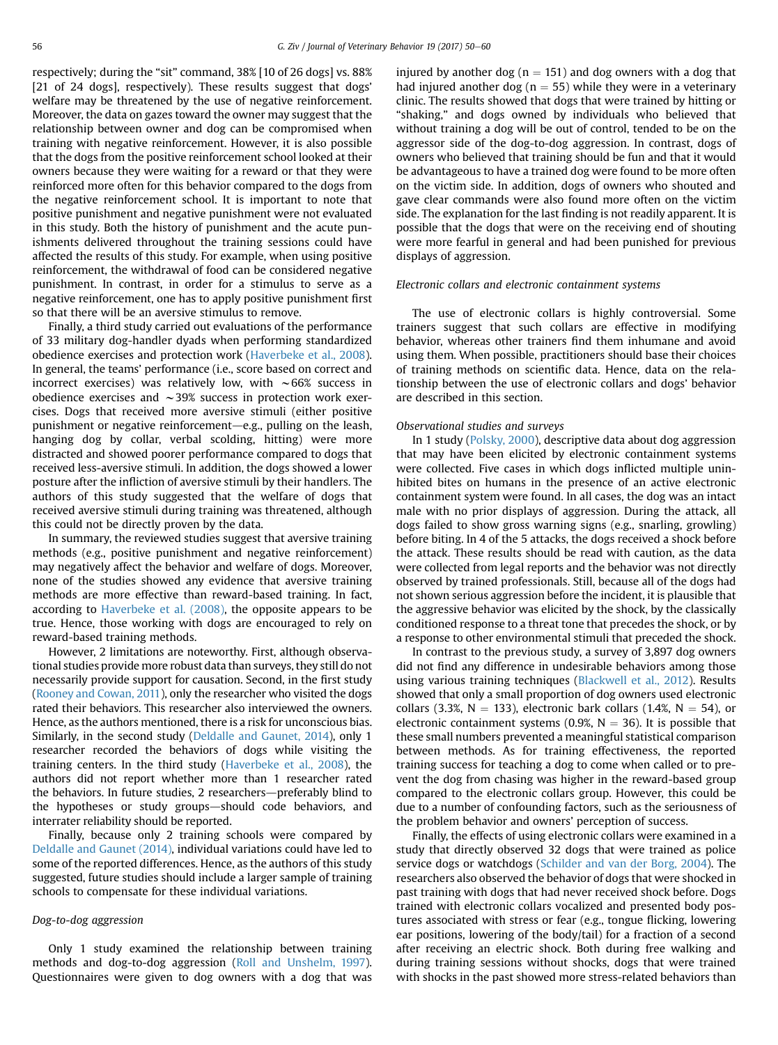respectively; during the "sit" command, 38% [10 of 26 dogs] vs. 88% [21 of 24 dogs], respectively). These results suggest that dogs' welfare may be threatened by the use of negative reinforcement. Moreover, the data on gazes toward the owner may suggest that the relationship between owner and dog can be compromised when training with negative reinforcement. However, it is also possible that the dogs from the positive reinforcement school looked at their owners because they were waiting for a reward or that they were reinforced more often for this behavior compared to the dogs from the negative reinforcement school. It is important to note that positive punishment and negative punishment were not evaluated in this study. Both the history of punishment and the acute punishments delivered throughout the training sessions could have affected the results of this study. For example, when using positive reinforcement, the withdrawal of food can be considered negative punishment. In contrast, in order for a stimulus to serve as a negative reinforcement, one has to apply positive punishment first so that there will be an aversive stimulus to remove.

Finally, a third study carried out evaluations of the performance of 33 military dog-handler dyads when performing standardized obedience exercises and protection work [\(Haverbeke et al., 2008\)](#page-10-0). In general, the teams' performance (i.e., score based on correct and incorrect exercises) was relatively low, with  $\sim$  66% success in obedience exercises and  $\sim$ 39% success in protection work exercises. Dogs that received more aversive stimuli (either positive punishment or negative reinforcement—e.g., pulling on the leash, hanging dog by collar, verbal scolding, hitting) were more distracted and showed poorer performance compared to dogs that received less-aversive stimuli. In addition, the dogs showed a lower posture after the infliction of aversive stimuli by their handlers. The authors of this study suggested that the welfare of dogs that received aversive stimuli during training was threatened, although this could not be directly proven by the data.

In summary, the reviewed studies suggest that aversive training methods (e.g., positive punishment and negative reinforcement) may negatively affect the behavior and welfare of dogs. Moreover, none of the studies showed any evidence that aversive training methods are more effective than reward-based training. In fact, according to [Haverbeke et al. \(2008\)](#page-10-0), the opposite appears to be true. Hence, those working with dogs are encouraged to rely on reward-based training methods.

However, 2 limitations are noteworthy. First, although observational studies provide more robust data than surveys, they still do not necessarily provide support for causation. Second, in the first study ([Rooney and Cowan, 2011\)](#page-10-0), only the researcher who visited the dogs rated their behaviors. This researcher also interviewed the owners. Hence, as the authors mentioned, there is a risk for unconscious bias. Similarly, in the second study [\(Deldalle and Gaunet, 2014\)](#page-10-0), only 1 researcher recorded the behaviors of dogs while visiting the training centers. In the third study [\(Haverbeke et al., 2008\)](#page-10-0), the authors did not report whether more than 1 researcher rated the behaviors. In future studies, 2 researchers—preferably blind to the hypotheses or study groups-should code behaviors, and interrater reliability should be reported.

Finally, because only 2 training schools were compared by [Deldalle and Gaunet \(2014\)](#page-10-0), individual variations could have led to some of the reported differences. Hence, as the authors of this study suggested, future studies should include a larger sample of training schools to compensate for these individual variations.

#### Dog-to-dog aggression

Only 1 study examined the relationship between training methods and dog-to-dog aggression [\(Roll and Unshelm, 1997\)](#page-10-0). Questionnaires were given to dog owners with a dog that was

injured by another dog ( $n = 151$ ) and dog owners with a dog that had injured another dog ( $n = 55$ ) while they were in a veterinary clinic. The results showed that dogs that were trained by hitting or "shaking," and dogs owned by individuals who believed that without training a dog will be out of control, tended to be on the aggressor side of the dog-to-dog aggression. In contrast, dogs of owners who believed that training should be fun and that it would be advantageous to have a trained dog were found to be more often on the victim side. In addition, dogs of owners who shouted and gave clear commands were also found more often on the victim side. The explanation for the last finding is not readily apparent. It is possible that the dogs that were on the receiving end of shouting were more fearful in general and had been punished for previous displays of aggression.

#### Electronic collars and electronic containment systems

The use of electronic collars is highly controversial. Some trainers suggest that such collars are effective in modifying behavior, whereas other trainers find them inhumane and avoid using them. When possible, practitioners should base their choices of training methods on scientific data. Hence, data on the relationship between the use of electronic collars and dogs' behavior are described in this section.

#### Observational studies and surveys

In 1 study [\(Polsky, 2000\)](#page-10-0), descriptive data about dog aggression that may have been elicited by electronic containment systems were collected. Five cases in which dogs inflicted multiple uninhibited bites on humans in the presence of an active electronic containment system were found. In all cases, the dog was an intact male with no prior displays of aggression. During the attack, all dogs failed to show gross warning signs (e.g., snarling, growling) before biting. In 4 of the 5 attacks, the dogs received a shock before the attack. These results should be read with caution, as the data were collected from legal reports and the behavior was not directly observed by trained professionals. Still, because all of the dogs had not shown serious aggression before the incident, it is plausible that the aggressive behavior was elicited by the shock, by the classically conditioned response to a threat tone that precedes the shock, or by a response to other environmental stimuli that preceded the shock.

In contrast to the previous study, a survey of 3,897 dog owners did not find any difference in undesirable behaviors among those using various training techniques [\(Blackwell et al., 2012](#page-9-0)). Results showed that only a small proportion of dog owners used electronic collars (3.3%,  $N = 133$ ), electronic bark collars (1.4%,  $N = 54$ ), or electronic containment systems (0.9%,  $N = 36$ ). It is possible that these small numbers prevented a meaningful statistical comparison between methods. As for training effectiveness, the reported training success for teaching a dog to come when called or to prevent the dog from chasing was higher in the reward-based group compared to the electronic collars group. However, this could be due to a number of confounding factors, such as the seriousness of the problem behavior and owners' perception of success.

Finally, the effects of using electronic collars were examined in a study that directly observed 32 dogs that were trained as police service dogs or watchdogs [\(Schilder and van der Borg, 2004\)](#page-10-0). The researchers also observed the behavior of dogs that were shocked in past training with dogs that had never received shock before. Dogs trained with electronic collars vocalized and presented body postures associated with stress or fear (e.g., tongue flicking, lowering ear positions, lowering of the body/tail) for a fraction of a second after receiving an electric shock. Both during free walking and during training sessions without shocks, dogs that were trained with shocks in the past showed more stress-related behaviors than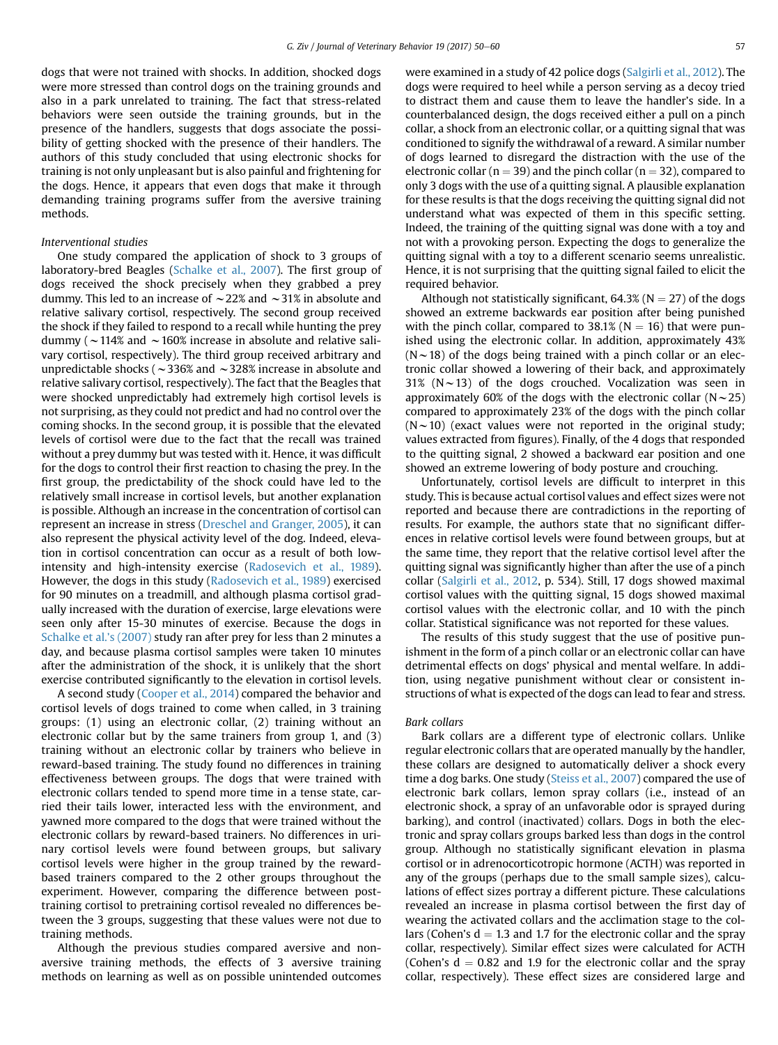dogs that were not trained with shocks. In addition, shocked dogs were more stressed than control dogs on the training grounds and also in a park unrelated to training. The fact that stress-related behaviors were seen outside the training grounds, but in the presence of the handlers, suggests that dogs associate the possibility of getting shocked with the presence of their handlers. The authors of this study concluded that using electronic shocks for training is not only unpleasant but is also painful and frightening for the dogs. Hence, it appears that even dogs that make it through demanding training programs suffer from the aversive training methods.

#### Interventional studies

One study compared the application of shock to 3 groups of laboratory-bred Beagles ([Schalke et al., 2007\)](#page-10-0). The first group of dogs received the shock precisely when they grabbed a prey dummy. This led to an increase of  $\sim$  22% and  $\sim$  31% in absolute and relative salivary cortisol, respectively. The second group received the shock if they failed to respond to a recall while hunting the prey dummy ( $\sim$  114% and  $\sim$  160% increase in absolute and relative salivary cortisol, respectively). The third group received arbitrary and unpredictable shocks ( $\sim$ 336% and  $\sim$ 328% increase in absolute and relative salivary cortisol, respectively). The fact that the Beagles that were shocked unpredictably had extremely high cortisol levels is not surprising, as they could not predict and had no control over the coming shocks. In the second group, it is possible that the elevated levels of cortisol were due to the fact that the recall was trained without a prey dummy but was tested with it. Hence, it was difficult for the dogs to control their first reaction to chasing the prey. In the first group, the predictability of the shock could have led to the relatively small increase in cortisol levels, but another explanation is possible. Although an increase in the concentration of cortisol can represent an increase in stress ([Dreschel and Granger, 2005](#page-10-0)), it can also represent the physical activity level of the dog. Indeed, elevation in cortisol concentration can occur as a result of both lowintensity and high-intensity exercise [\(Radosevich et al., 1989](#page-10-0)). However, the dogs in this study [\(Radosevich et al., 1989\)](#page-10-0) exercised for 90 minutes on a treadmill, and although plasma cortisol gradually increased with the duration of exercise, large elevations were seen only after 15-30 minutes of exercise. Because the dogs in [Schalke et al.](#page-10-0)'s (2007) study ran after prey for less than 2 minutes a day, and because plasma cortisol samples were taken 10 minutes after the administration of the shock, it is unlikely that the short exercise contributed significantly to the elevation in cortisol levels.

A second study ([Cooper et al., 2014\)](#page-10-0) compared the behavior and cortisol levels of dogs trained to come when called, in 3 training groups: (1) using an electronic collar, (2) training without an electronic collar but by the same trainers from group 1, and (3) training without an electronic collar by trainers who believe in reward-based training. The study found no differences in training effectiveness between groups. The dogs that were trained with electronic collars tended to spend more time in a tense state, carried their tails lower, interacted less with the environment, and yawned more compared to the dogs that were trained without the electronic collars by reward-based trainers. No differences in urinary cortisol levels were found between groups, but salivary cortisol levels were higher in the group trained by the rewardbased trainers compared to the 2 other groups throughout the experiment. However, comparing the difference between posttraining cortisol to pretraining cortisol revealed no differences between the 3 groups, suggesting that these values were not due to training methods.

Although the previous studies compared aversive and nonaversive training methods, the effects of 3 aversive training methods on learning as well as on possible unintended outcomes

were examined in a study of 42 police dogs [\(Salgirli et al., 2012\)](#page-10-0). The dogs were required to heel while a person serving as a decoy tried to distract them and cause them to leave the handler's side. In a counterbalanced design, the dogs received either a pull on a pinch collar, a shock from an electronic collar, or a quitting signal that was conditioned to signify the withdrawal of a reward. A similar number of dogs learned to disregard the distraction with the use of the electronic collar ( $n = 39$ ) and the pinch collar ( $n = 32$ ), compared to only 3 dogs with the use of a quitting signal. A plausible explanation for these results is that the dogs receiving the quitting signal did not understand what was expected of them in this specific setting. Indeed, the training of the quitting signal was done with a toy and not with a provoking person. Expecting the dogs to generalize the quitting signal with a toy to a different scenario seems unrealistic. Hence, it is not surprising that the quitting signal failed to elicit the required behavior.

Although not statistically significant,  $64.3\%$  (N = 27) of the dogs showed an extreme backwards ear position after being punished with the pinch collar, compared to 38.1% ( $N = 16$ ) that were punished using the electronic collar. In addition, approximately 43%  $(N \sim 18)$  of the dogs being trained with a pinch collar or an electronic collar showed a lowering of their back, and approximately 31% ( $N \sim 13$ ) of the dogs crouched. Vocalization was seen in approximately 60% of the dogs with the electronic collar ( $N \sim 25$ ) compared to approximately 23% of the dogs with the pinch collar  $(N \sim 10)$  (exact values were not reported in the original study; values extracted from figures). Finally, of the 4 dogs that responded to the quitting signal, 2 showed a backward ear position and one showed an extreme lowering of body posture and crouching.

Unfortunately, cortisol levels are difficult to interpret in this study. This is because actual cortisol values and effect sizes were not reported and because there are contradictions in the reporting of results. For example, the authors state that no significant differences in relative cortisol levels were found between groups, but at the same time, they report that the relative cortisol level after the quitting signal was significantly higher than after the use of a pinch collar [\(Salgirli et al., 2012](#page-10-0), p. 534). Still, 17 dogs showed maximal cortisol values with the quitting signal, 15 dogs showed maximal cortisol values with the electronic collar, and 10 with the pinch collar. Statistical significance was not reported for these values.

The results of this study suggest that the use of positive punishment in the form of a pinch collar or an electronic collar can have detrimental effects on dogs' physical and mental welfare. In addition, using negative punishment without clear or consistent instructions of what is expected of the dogs can lead to fear and stress.

#### Bark collars

Bark collars are a different type of electronic collars. Unlike regular electronic collars that are operated manually by the handler, these collars are designed to automatically deliver a shock every time a dog barks. One study [\(Steiss et al., 2007\)](#page-10-0) compared the use of electronic bark collars, lemon spray collars (i.e., instead of an electronic shock, a spray of an unfavorable odor is sprayed during barking), and control (inactivated) collars. Dogs in both the electronic and spray collars groups barked less than dogs in the control group. Although no statistically significant elevation in plasma cortisol or in adrenocorticotropic hormone (ACTH) was reported in any of the groups (perhaps due to the small sample sizes), calculations of effect sizes portray a different picture. These calculations revealed an increase in plasma cortisol between the first day of wearing the activated collars and the acclimation stage to the collars (Cohen's  $d = 1.3$  and 1.7 for the electronic collar and the spray collar, respectively). Similar effect sizes were calculated for ACTH (Cohen's  $d = 0.82$  and 1.9 for the electronic collar and the spray collar, respectively). These effect sizes are considered large and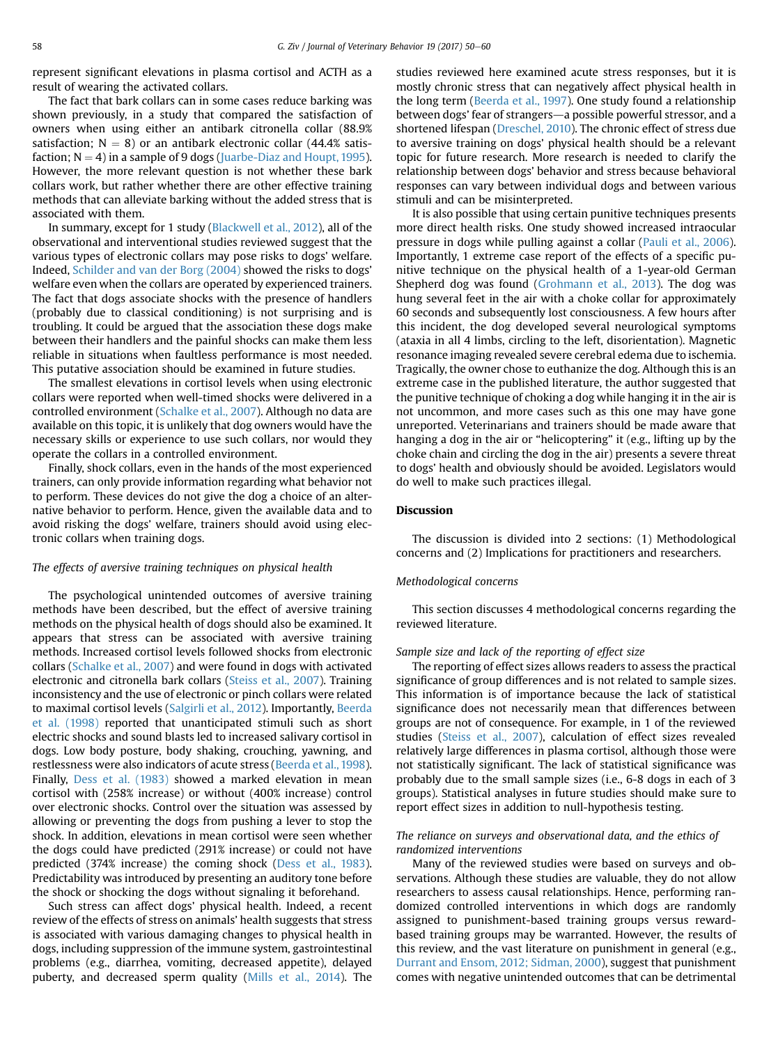represent significant elevations in plasma cortisol and ACTH as a result of wearing the activated collars.

The fact that bark collars can in some cases reduce barking was shown previously, in a study that compared the satisfaction of owners when using either an antibark citronella collar (88.9% satisfaction;  $N = 8$ ) or an antibark electronic collar (44.4% satisfaction;  $N = 4$ ) in a sample of 9 dogs ([Juarbe-Diaz and Houpt, 1995\)](#page-10-0). However, the more relevant question is not whether these bark collars work, but rather whether there are other effective training methods that can alleviate barking without the added stress that is associated with them.

In summary, except for 1 study [\(Blackwell et al., 2012\)](#page-9-0), all of the observational and interventional studies reviewed suggest that the various types of electronic collars may pose risks to dogs' welfare. Indeed, [Schilder and van der Borg \(2004\)](#page-10-0) showed the risks to dogs' welfare even when the collars are operated by experienced trainers. The fact that dogs associate shocks with the presence of handlers (probably due to classical conditioning) is not surprising and is troubling. It could be argued that the association these dogs make between their handlers and the painful shocks can make them less reliable in situations when faultless performance is most needed. This putative association should be examined in future studies.

The smallest elevations in cortisol levels when using electronic collars were reported when well-timed shocks were delivered in a controlled environment [\(Schalke et al., 2007\)](#page-10-0). Although no data are available on this topic, it is unlikely that dog owners would have the necessary skills or experience to use such collars, nor would they operate the collars in a controlled environment.

Finally, shock collars, even in the hands of the most experienced trainers, can only provide information regarding what behavior not to perform. These devices do not give the dog a choice of an alternative behavior to perform. Hence, given the available data and to avoid risking the dogs' welfare, trainers should avoid using electronic collars when training dogs.

#### The effects of aversive training techniques on physical health

The psychological unintended outcomes of aversive training methods have been described, but the effect of aversive training methods on the physical health of dogs should also be examined. It appears that stress can be associated with aversive training methods. Increased cortisol levels followed shocks from electronic collars ([Schalke et al., 2007\)](#page-10-0) and were found in dogs with activated electronic and citronella bark collars ([Steiss et al., 2007\)](#page-10-0). Training inconsistency and the use of electronic or pinch collars were related to maximal cortisol levels [\(Salgirli et al., 2012\)](#page-10-0). Importantly, [Beerda](#page-9-0) [et al. \(1998\)](#page-9-0) reported that unanticipated stimuli such as short electric shocks and sound blasts led to increased salivary cortisol in dogs. Low body posture, body shaking, crouching, yawning, and restlessness were also indicators of acute stress ([Beerda et al., 1998\)](#page-9-0). Finally, [Dess et al. \(1983\)](#page-10-0) showed a marked elevation in mean cortisol with (258% increase) or without (400% increase) control over electronic shocks. Control over the situation was assessed by allowing or preventing the dogs from pushing a lever to stop the shock. In addition, elevations in mean cortisol were seen whether the dogs could have predicted (291% increase) or could not have predicted (374% increase) the coming shock [\(Dess et al., 1983\)](#page-10-0). Predictability was introduced by presenting an auditory tone before the shock or shocking the dogs without signaling it beforehand.

Such stress can affect dogs' physical health. Indeed, a recent review of the effects of stress on animals' health suggests that stress is associated with various damaging changes to physical health in dogs, including suppression of the immune system, gastrointestinal problems (e.g., diarrhea, vomiting, decreased appetite), delayed puberty, and decreased sperm quality ([Mills et al., 2014](#page-10-0)). The studies reviewed here examined acute stress responses, but it is mostly chronic stress that can negatively affect physical health in the long term [\(Beerda et al., 1997](#page-9-0)). One study found a relationship between dogs' fear of strangers—a possible powerful stressor, and a shortened lifespan [\(Dreschel, 2010\)](#page-10-0). The chronic effect of stress due to aversive training on dogs' physical health should be a relevant topic for future research. More research is needed to clarify the relationship between dogs' behavior and stress because behavioral responses can vary between individual dogs and between various stimuli and can be misinterpreted.

It is also possible that using certain punitive techniques presents more direct health risks. One study showed increased intraocular pressure in dogs while pulling against a collar [\(Pauli et al., 2006](#page-10-0)). Importantly, 1 extreme case report of the effects of a specific punitive technique on the physical health of a 1-year-old German Shepherd dog was found ([Grohmann et al., 2013](#page-10-0)). The dog was hung several feet in the air with a choke collar for approximately 60 seconds and subsequently lost consciousness. A few hours after this incident, the dog developed several neurological symptoms (ataxia in all 4 limbs, circling to the left, disorientation). Magnetic resonance imaging revealed severe cerebral edema due to ischemia. Tragically, the owner chose to euthanize the dog. Although this is an extreme case in the published literature, the author suggested that the punitive technique of choking a dog while hanging it in the air is not uncommon, and more cases such as this one may have gone unreported. Veterinarians and trainers should be made aware that hanging a dog in the air or "helicoptering" it (e.g., lifting up by the choke chain and circling the dog in the air) presents a severe threat to dogs' health and obviously should be avoided. Legislators would do well to make such practices illegal.

#### Discussion

The discussion is divided into 2 sections: (1) Methodological concerns and (2) Implications for practitioners and researchers.

#### Methodological concerns

This section discusses 4 methodological concerns regarding the reviewed literature.

## Sample size and lack of the reporting of effect size

The reporting of effect sizes allows readers to assess the practical significance of group differences and is not related to sample sizes. This information is of importance because the lack of statistical significance does not necessarily mean that differences between groups are not of consequence. For example, in 1 of the reviewed studies ([Steiss et al., 2007\)](#page-10-0), calculation of effect sizes revealed relatively large differences in plasma cortisol, although those were not statistically significant. The lack of statistical significance was probably due to the small sample sizes (i.e., 6-8 dogs in each of 3 groups). Statistical analyses in future studies should make sure to report effect sizes in addition to null-hypothesis testing.

#### The reliance on surveys and observational data, and the ethics of randomized interventions

Many of the reviewed studies were based on surveys and observations. Although these studies are valuable, they do not allow researchers to assess causal relationships. Hence, performing randomized controlled interventions in which dogs are randomly assigned to punishment-based training groups versus rewardbased training groups may be warranted. However, the results of this review, and the vast literature on punishment in general (e.g., [Durrant and Ensom, 2012; Sidman, 2000](#page-10-0)), suggest that punishment comes with negative unintended outcomes that can be detrimental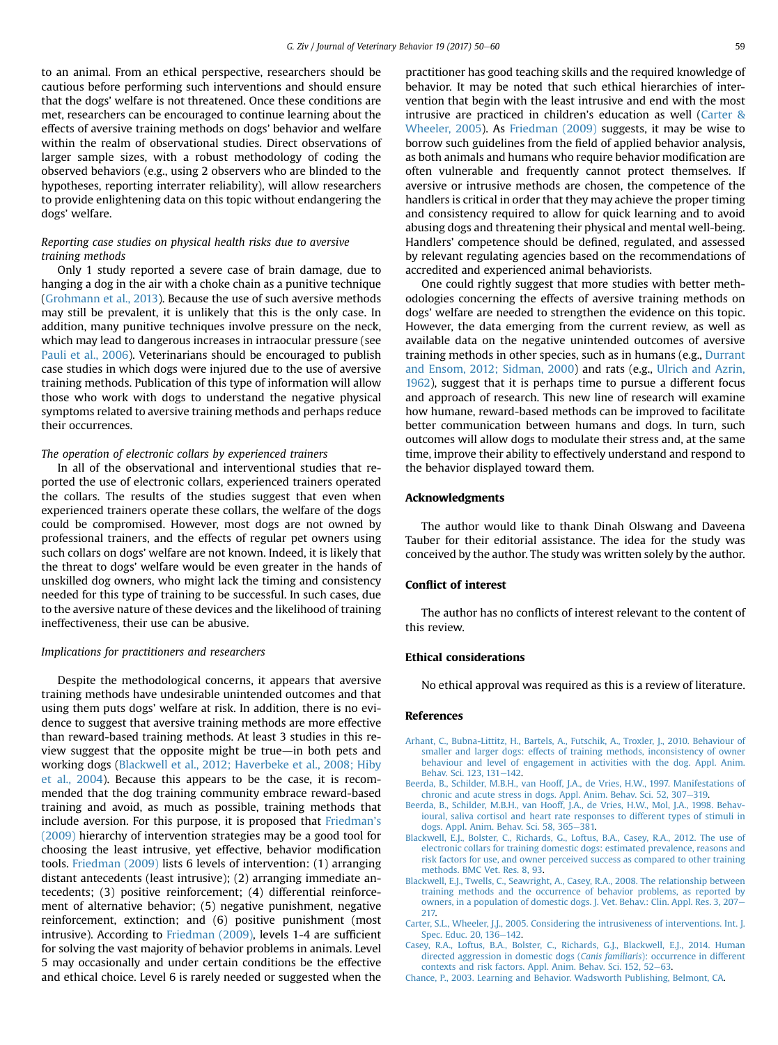<span id="page-9-0"></span>to an animal. From an ethical perspective, researchers should be cautious before performing such interventions and should ensure that the dogs' welfare is not threatened. Once these conditions are met, researchers can be encouraged to continue learning about the effects of aversive training methods on dogs' behavior and welfare within the realm of observational studies. Direct observations of larger sample sizes, with a robust methodology of coding the observed behaviors (e.g., using 2 observers who are blinded to the hypotheses, reporting interrater reliability), will allow researchers to provide enlightening data on this topic without endangering the dogs' welfare.

## Reporting case studies on physical health risks due to aversive training methods

Only 1 study reported a severe case of brain damage, due to hanging a dog in the air with a choke chain as a punitive technique ([Grohmann et al., 2013](#page-10-0)). Because the use of such aversive methods may still be prevalent, it is unlikely that this is the only case. In addition, many punitive techniques involve pressure on the neck, which may lead to dangerous increases in intraocular pressure (see [Pauli et al., 2006](#page-10-0)). Veterinarians should be encouraged to publish case studies in which dogs were injured due to the use of aversive training methods. Publication of this type of information will allow those who work with dogs to understand the negative physical symptoms related to aversive training methods and perhaps reduce their occurrences.

#### The operation of electronic collars by experienced trainers

In all of the observational and interventional studies that reported the use of electronic collars, experienced trainers operated the collars. The results of the studies suggest that even when experienced trainers operate these collars, the welfare of the dogs could be compromised. However, most dogs are not owned by professional trainers, and the effects of regular pet owners using such collars on dogs' welfare are not known. Indeed, it is likely that the threat to dogs' welfare would be even greater in the hands of unskilled dog owners, who might lack the timing and consistency needed for this type of training to be successful. In such cases, due to the aversive nature of these devices and the likelihood of training ineffectiveness, their use can be abusive.

#### Implications for practitioners and researchers

Despite the methodological concerns, it appears that aversive training methods have undesirable unintended outcomes and that using them puts dogs' welfare at risk. In addition, there is no evidence to suggest that aversive training methods are more effective than reward-based training methods. At least 3 studies in this review suggest that the opposite might be true $-$ in both pets and working dogs (Blackwell et al., 2012; Haverbeke et al., 2008; Hiby et al., 2004). Because this appears to be the case, it is recommended that the dog training community embrace reward-based training and avoid, as much as possible, training methods that include aversion. For this purpose, it is proposed that [Friedman](#page-10-0)'s [\(2009\)](#page-10-0) hierarchy of intervention strategies may be a good tool for choosing the least intrusive, yet effective, behavior modification tools. [Friedman \(2009\)](#page-10-0) lists 6 levels of intervention: (1) arranging distant antecedents (least intrusive); (2) arranging immediate antecedents; (3) positive reinforcement; (4) differential reinforcement of alternative behavior; (5) negative punishment, negative reinforcement, extinction; and (6) positive punishment (most intrusive). According to [Friedman \(2009\)](#page-10-0), levels 1-4 are sufficient for solving the vast majority of behavior problems in animals. Level 5 may occasionally and under certain conditions be the effective and ethical choice. Level 6 is rarely needed or suggested when the

practitioner has good teaching skills and the required knowledge of behavior. It may be noted that such ethical hierarchies of intervention that begin with the least intrusive and end with the most intrusive are practiced in children's education as well (Carter & Wheeler, 2005). As [Friedman \(2009\)](#page-10-0) suggests, it may be wise to borrow such guidelines from the field of applied behavior analysis, as both animals and humans who require behavior modification are often vulnerable and frequently cannot protect themselves. If aversive or intrusive methods are chosen, the competence of the handlers is critical in order that they may achieve the proper timing and consistency required to allow for quick learning and to avoid abusing dogs and threatening their physical and mental well-being. Handlers' competence should be defined, regulated, and assessed by relevant regulating agencies based on the recommendations of accredited and experienced animal behaviorists.

One could rightly suggest that more studies with better methodologies concerning the effects of aversive training methods on dogs' welfare are needed to strengthen the evidence on this topic. However, the data emerging from the current review, as well as available data on the negative unintended outcomes of aversive training methods in other species, such as in humans (e.g., [Durrant](#page-10-0) [and Ensom, 2012; Sidman, 2000](#page-10-0)) and rats (e.g., [Ulrich and Azrin,](#page-10-0) [1962\)](#page-10-0), suggest that it is perhaps time to pursue a different focus and approach of research. This new line of research will examine how humane, reward-based methods can be improved to facilitate better communication between humans and dogs. In turn, such outcomes will allow dogs to modulate their stress and, at the same time, improve their ability to effectively understand and respond to the behavior displayed toward them.

#### Acknowledgments

The author would like to thank Dinah Olswang and Daveena Tauber for their editorial assistance. The idea for the study was conceived by the author. The study was written solely by the author.

#### Conflict of interest

The author has no conflicts of interest relevant to the content of this review.

#### Ethical considerations

No ethical approval was required as this is a review of literature.

#### References

- [Arhant, C., Bubna-Littitz, H., Bartels, A., Futschik, A., Troxler, J., 2010. Behaviour of](http://refhub.elsevier.com/S1558-7878(17)30035-7/sref1) [smaller and larger dogs: effects of training methods, inconsistency of owner](http://refhub.elsevier.com/S1558-7878(17)30035-7/sref1) [behaviour and level of engagement in activities with the dog. Appl. Anim.](http://refhub.elsevier.com/S1558-7878(17)30035-7/sref1) [Behav. Sci. 123, 131](http://refhub.elsevier.com/S1558-7878(17)30035-7/sref1)-[142.](http://refhub.elsevier.com/S1558-7878(17)30035-7/sref1)
- [Beerda, B., Schilder, M.B.H., van Hooff, J.A., de Vries, H.W., 1997. Manifestations of](http://refhub.elsevier.com/S1558-7878(17)30035-7/sref2) [chronic and acute stress in dogs. Appl. Anim. Behav. Sci. 52, 307](http://refhub.elsevier.com/S1558-7878(17)30035-7/sref2)-[319](http://refhub.elsevier.com/S1558-7878(17)30035-7/sref2).
- [Beerda, B., Schilder, M.B.H., van Hooff, J.A., de Vries, H.W., Mol, J.A., 1998. Behav](http://refhub.elsevier.com/S1558-7878(17)30035-7/sref3)[ioural, saliva cortisol and heart rate responses to different types of stimuli in](http://refhub.elsevier.com/S1558-7878(17)30035-7/sref3) [dogs. Appl. Anim. Behav. Sci. 58, 365](http://refhub.elsevier.com/S1558-7878(17)30035-7/sref3)-[381.](http://refhub.elsevier.com/S1558-7878(17)30035-7/sref3)
- [Blackwell, E.J., Bolster, C., Richards, G., Loftus, B.A., Casey, R.A., 2012. The use of](http://refhub.elsevier.com/S1558-7878(17)30035-7/sref4) [electronic collars for training domestic dogs: estimated prevalence, reasons and](http://refhub.elsevier.com/S1558-7878(17)30035-7/sref4) [risk factors for use, and owner perceived success as compared to other training](http://refhub.elsevier.com/S1558-7878(17)30035-7/sref4) [methods. BMC Vet. Res. 8, 93.](http://refhub.elsevier.com/S1558-7878(17)30035-7/sref4)
- [Blackwell, E.J., Twells, C., Seawright, A., Casey, R.A., 2008. The relationship between](http://refhub.elsevier.com/S1558-7878(17)30035-7/sref5) [training methods and the occurrence of behavior problems, as reported by](http://refhub.elsevier.com/S1558-7878(17)30035-7/sref5) [owners, in a population of domestic dogs. J. Vet. Behav.: Clin. Appl. Res. 3, 207](http://refhub.elsevier.com/S1558-7878(17)30035-7/sref5)-[217.](http://refhub.elsevier.com/S1558-7878(17)30035-7/sref5)
- [Carter, S.L., Wheeler, J.J., 2005. Considering the intrusiveness of interventions. Int. J.](http://refhub.elsevier.com/S1558-7878(17)30035-7/sref6) [Spec. Educ. 20, 136](http://refhub.elsevier.com/S1558-7878(17)30035-7/sref6)-[142.](http://refhub.elsevier.com/S1558-7878(17)30035-7/sref6)
- [Casey, R.A., Loftus, B.A., Bolster, C., Richards, G.J., Blackwell, E.J., 2014. Human](http://refhub.elsevier.com/S1558-7878(17)30035-7/sref7) [directed aggression in domestic dogs \(](http://refhub.elsevier.com/S1558-7878(17)30035-7/sref7)Canis familiaris): occurrence in different [contexts and risk factors. Appl. Anim. Behav. Sci. 152, 52](http://refhub.elsevier.com/S1558-7878(17)30035-7/sref7)-[63](http://refhub.elsevier.com/S1558-7878(17)30035-7/sref7).
- [Chance, P., 2003. Learning and Behavior. Wadsworth Publishing, Belmont, CA](http://refhub.elsevier.com/S1558-7878(17)30035-7/sref8).